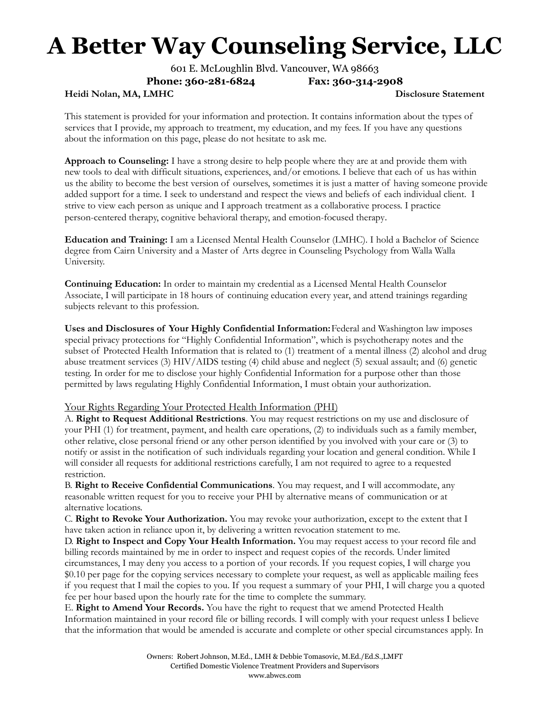601 E. McLoughlin Blvd. Vancouver, WA 98663

**Phone: 360-281-6824 Fax: 360-314-2908**

**Heidi Nolan, MA, LMHC Disclosure Statement**

This statement is provided for your information and protection. It contains information about the types of services that I provide, my approach to treatment, my education, and my fees. If you have any questions about the information on this page, please do not hesitate to ask me.

**Approach to Counseling:** I have a strong desire to help people where they are at and provide them with new tools to deal with difficult situations, experiences, and/or emotions. I believe that each of us has within us the ability to become the best version of ourselves, sometimes it is just a matter of having someone provide added support for a time. I seek to understand and respect the views and beliefs of each individual client. I strive to view each person as unique and I approach treatment as a collaborative process. I practice person-centered therapy, cognitive behavioral therapy, and emotion-focused therapy.

**Education and Training:** I am a Licensed Mental Health Counselor (LMHC). I hold a Bachelor of Science degree from Cairn University and a Master of Arts degree in Counseling Psychology from Walla Walla University.

**Continuing Education:** In order to maintain my credential as a Licensed Mental Health Counselor Associate, I will participate in 18 hours of continuing education every year, and attend trainings regarding subjects relevant to this profession.

**Uses and Disclosures of Your Highly Confidential Information:**Federal and Washington law imposes special privacy protections for "Highly Confidential Information", which is psychotherapy notes and the subset of Protected Health Information that is related to (1) treatment of a mental illness (2) alcohol and drug abuse treatment services (3) HIV/AIDS testing (4) child abuse and neglect (5) sexual assault; and (6) genetic testing. In order for me to disclose your highly Confidential Information for a purpose other than those permitted by laws regulating Highly Confidential Information, I must obtain your authorization.

#### Your Rights Regarding Your Protected Health Information (PHI)

A. **Right to Request Additional Restrictions**. You may request restrictions on my use and disclosure of your PHI (1) for treatment, payment, and health care operations, (2) to individuals such as a family member, other relative, close personal friend or any other person identified by you involved with your care or (3) to notify or assist in the notification of such individuals regarding your location and general condition. While I will consider all requests for additional restrictions carefully, I am not required to agree to a requested restriction.

B. **Right to Receive Confidential Communications**. You may request, and I will accommodate, any reasonable written request for you to receive your PHI by alternative means of communication or at alternative locations.

C. **Right to Revoke Your Authorization.** You may revoke your authorization, except to the extent that I have taken action in reliance upon it, by delivering a written revocation statement to me.

D. **Right to Inspect and Copy Your Health Information.** You may request access to your record file and billing records maintained by me in order to inspect and request copies of the records. Under limited circumstances, I may deny you access to a portion of your records. If you request copies, I will charge you \$0.10 per page for the copying services necessary to complete your request, as well as applicable mailing fees if you request that I mail the copies to you. If you request a summary of your PHI, I will charge you a quoted fee per hour based upon the hourly rate for the time to complete the summary.

E. **Right to Amend Your Records.** You have the right to request that we amend Protected Health Information maintained in your record file or billing records. I will comply with your request unless I believe that the information that would be amended is accurate and complete or other special circumstances apply. In

> Owners: Robert Johnson, M.Ed., LMH & Debbie Tomasovic, M.Ed./Ed.S.,LMFT Certified Domestic Violence Treatment Providers and Supervisors www.abwcs.com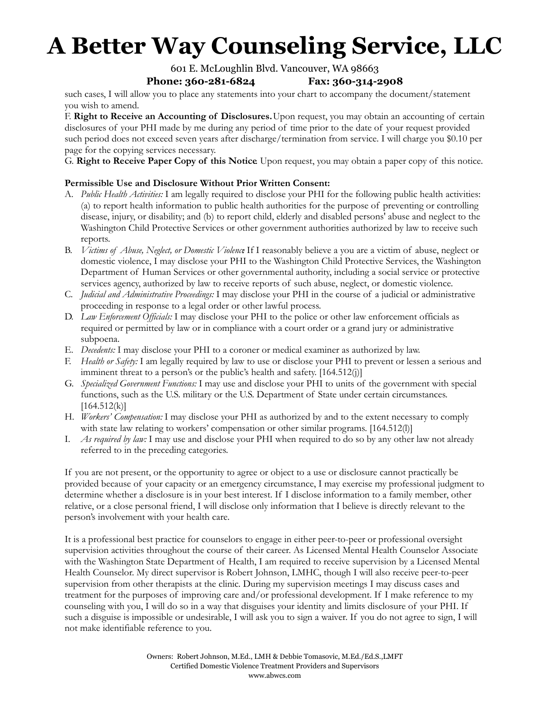# 601 E. McLoughlin Blvd. Vancouver, WA 98663

# **Phone: 360-281-6824 Fax: 360-314-2908**

such cases, I will allow you to place any statements into your chart to accompany the document/statement you wish to amend.

F. **Right to Receive an Accounting of Disclosures.**Upon request, you may obtain an accounting of certain disclosures of your PHI made by me during any period of time prior to the date of your request provided such period does not exceed seven years after discharge/termination from service. I will charge you \$0.10 per page for the copying services necessary.

G. **Right to Receive Paper Copy of this Notice**. Upon request, you may obtain a paper copy of this notice.

# **Permissible Use and Disclosure Without Prior Written Consent:**

- A. *Public Health Activities:* I am legally required to disclose your PHI for the following public health activities: (a) to report health information to public health authorities for the purpose of preventing or controlling disease, injury, or disability; and (b) to report child, elderly and disabled persons' abuse and neglect to the Washington Child Protective Services or other government authorities authorized by law to receive such reports.
- B. *Victims of Abuse, Neglect, or Domestic Violence*: If I reasonably believe a you are a victim of abuse, neglect or domestic violence, I may disclose your PHI to the Washington Child Protective Services, the Washington Department of Human Services or other governmental authority, including a social service or protective services agency, authorized by law to receive reports of such abuse, neglect, or domestic violence.
- C. *Judicial and Administrative Proceedings:* I may disclose your PHI in the course of a judicial or administrative proceeding in response to a legal order or other lawful process.
- D. *Law Enforcement Of icials:* I may disclose your PHI to the police or other law enforcement officials as required or permitted by law or in compliance with a court order or a grand jury or administrative subpoena.
- E. *Decedents:* I may disclose your PHI to a coroner or medical examiner as authorized by law.
- F. *Health or Safety:* I am legally required by law to use or disclose your PHI to prevent or lessen a serious and imminent threat to a person's or the public's health and safety. [164.512(j)]
- G. *Specialized Government Functions:* I may use and disclose your PHI to units of the government with special functions, such as the U.S. military or the U.S. Department of State under certain circumstances.  $[164.512(k)]$
- H. *Workers' Compensation:* I may disclose your PHI as authorized by and to the extent necessary to comply with state law relating to workers' compensation or other similar programs. [164.512(l)]
- I. *As required by law:* I may use and disclose your PHI when required to do so by any other law not already referred to in the preceding categories.

If you are not present, or the opportunity to agree or object to a use or disclosure cannot practically be provided because of your capacity or an emergency circumstance, I may exercise my professional judgment to determine whether a disclosure is in your best interest. If I disclose information to a family member, other relative, or a close personal friend, I will disclose only information that I believe is directly relevant to the person's involvement with your health care.

It is a professional best practice for counselors to engage in either peer-to-peer or professional oversight supervision activities throughout the course of their career. As Licensed Mental Health Counselor Associate with the Washington State Department of Health, I am required to receive supervision by a Licensed Mental Health Counselor. My direct supervisor is Robert Johnson, LMHC, though I will also receive peer-to-peer supervision from other therapists at the clinic. During my supervision meetings I may discuss cases and treatment for the purposes of improving care and/or professional development. If I make reference to my counseling with you, I will do so in a way that disguises your identity and limits disclosure of your PHI. If such a disguise is impossible or undesirable, I will ask you to sign a waiver. If you do not agree to sign, I will not make identifiable reference to you.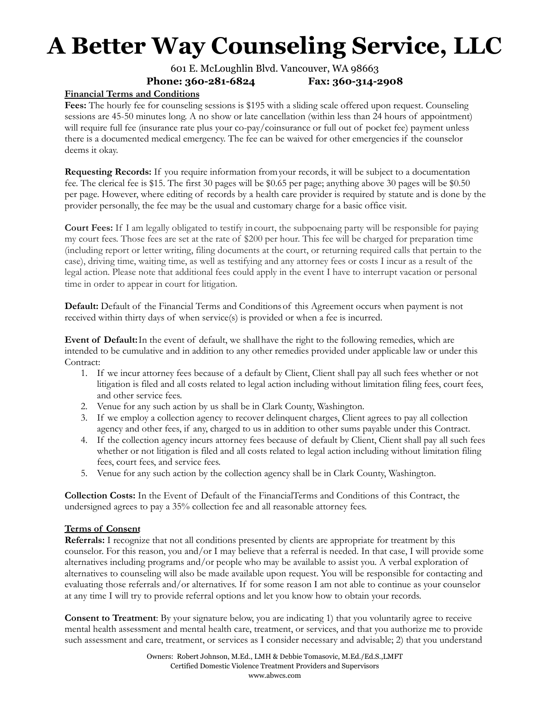# 601 E. McLoughlin Blvd. Vancouver, WA 98663 **Phone: 360-281-6824 Fax: 360-314-2908**

# **Financial Terms and Conditions**

**Fees:** The hourly fee for counseling sessions is \$195 with a sliding scale offered upon request. Counseling sessions are 45-50 minutes long. A no show or late cancellation (within less than 24 hours of appointment) will require full fee (insurance rate plus your co-pay/coinsurance or full out of pocket fee) payment unless there is a documented medical emergency. The fee can be waived for other emergencies if the counselor deems it okay.

**Requesting Records:** If you require information fromyour records, it will be subject to a documentation fee. The clerical fee is \$15. The first 30 pages will be \$0.65 per page; anything above 30 pages will be \$0.50 per page. However, where editing of records by a health care provider is required by statute and is done by the provider personally, the fee may be the usual and customary charge for a basic office visit.

**Court Fees:** If I am legally obligated to testify incourt, the subpoenaing party will be responsible for paying my court fees. Those fees are set at the rate of \$200 per hour. This fee will be charged for preparation time (including report or letter writing, filing documents at the court, or returning required calls that pertain to the case), driving time, waiting time, as well as testifying and any attorney fees or costs I incur as a result of the legal action. Please note that additional fees could apply in the event I have to interrupt vacation or personal time in order to appear in court for litigation.

**Default:** Default of the Financial Terms and Conditionsof this Agreement occurs when payment is not received within thirty days of when service(s) is provided or when a fee is incurred.

**Event of Default:**In the event of default, we shallhave the right to the following remedies, which are intended to be cumulative and in addition to any other remedies provided under applicable law or under this Contract:

- 1. If we incur attorney fees because of a default by Client, Client shall pay all such fees whether or not litigation is filed and all costs related to legal action including without limitation filing fees, court fees, and other service fees.
- 2. Venue for any such action by us shall be in Clark County, Washington.
- 3. If we employ a collection agency to recover delinquent charges, Client agrees to pay all collection agency and other fees, if any, charged to us in addition to other sums payable under this Contract.
- 4. If the collection agency incurs attorney fees because of default by Client, Client shall pay all such fees whether or not litigation is filed and all costs related to legal action including without limitation filing fees, court fees, and service fees.
- 5. Venue for any such action by the collection agency shall be in Clark County, Washington.

**Collection Costs:** In the Event of Default of the FinancialTerms and Conditions of this Contract, the undersigned agrees to pay a 35% collection fee and all reasonable attorney fees.

#### **Terms of Consent**

**Referrals:** I recognize that not all conditions presented by clients are appropriate for treatment by this counselor. For this reason, you and/or I may believe that a referral is needed. In that case, I will provide some alternatives including programs and/or people who may be available to assist you. A verbal exploration of alternatives to counseling will also be made available upon request. You will be responsible for contacting and evaluating those referrals and/or alternatives. If for some reason I am not able to continue as your counselor at any time I will try to provide referral options and let you know how to obtain your records.

**Consent to Treatment**: By your signature below, you are indicating 1) that you voluntarily agree to receive mental health assessment and mental health care, treatment, or services, and that you authorize me to provide such assessment and care, treatment, or services as I consider necessary and advisable; 2) that you understand

> Owners: Robert Johnson, M.Ed., LMH & Debbie Tomasovic, M.Ed./Ed.S.,LMFT Certified Domestic Violence Treatment Providers and Supervisors www.abwcs.com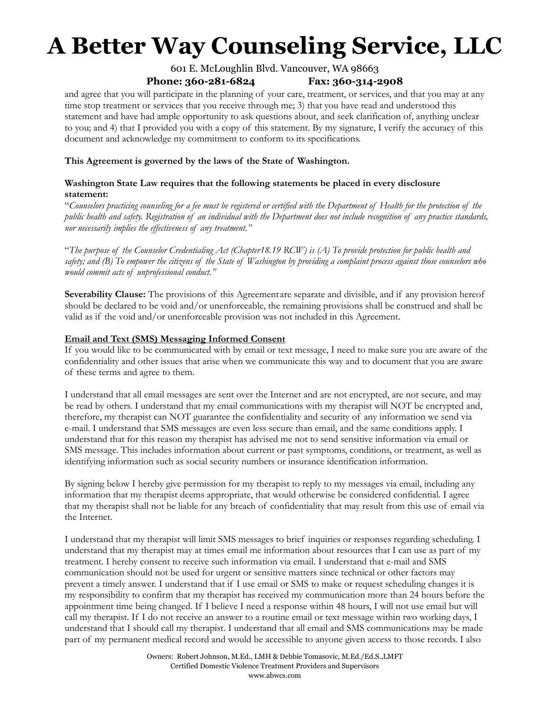# 601 E. McLoughlin Blvd. Vancouver, WA 98663 **Phone: 360-281-6824 Fax: 360-314-2908**

and agree that you will participate in the planning of your care, treatment, or services, and that you may at any time stop treatment or services that you receive through me; 3) that you have read and understood this statement and have had ample opportunity to ask questions about, and seek clarification of, anything unclear to you; and 4) that I provided you with a copy of this statement. By my signature, I verify the accuracy of this document and acknowledge my commitment to conform to its specifications.

### **This Agreement is governed by the laws of the State of Washington.**

# **Washington State Law requires that the following statements be placed in every disclosure statement:**

"Counselors practicing counseling for a fee must be registered or certified with the Department of Health for the protection of the public health and safety. Registration of an individual with the Department does not include recognition of any practice standards, *nor necessarily implies the ef ectiveness of any treatment."*

"The purpose of the Counselor Credentialing Act (Chapter18.19 RCW) is (A) To provide protection for public health and safety; and (B) To empower the citizens of the State of Washington by providing a complaint process against those counselors who *would commit acts of unprofessional conduct."*

**Severability Clause:** The provisions of this Agreement are separate and divisible, and if any provision hereof should be declared to be void and/or unenforceable, the remaining provisions shall be construed and shall be valid as if the void and/or unenforceable provision was not included in this Agreement.

# **Email and Text (SMS) Messaging Informed Consent**

If you would like to be communicated with by email or text message, I need to make sure you are aware of the confidentiality and other issues that arise when we communicate this way and to document that you are aware of these terms and agree to them.

I understand that all email messages are sent over the Internet and are not encrypted, are not secure, and may be read by others. I understand that my email communications with my therapist will NOT be encrypted and, therefore, my therapist can NOT guarantee the confidentiality and security of any information we send via e-mail. I understand that SMS messages are even less secure than email, and the same conditions apply. I understand that for this reason my therapist has advised me not to send sensitive information via email or SMS message. This includes information about current or past symptoms, conditions, or treatment, as well as identifying information such as social security numbers or insurance identification information.

By signing below I hereby give permission for my therapist to reply to my messages via email, including any information that my therapist deems appropriate, that would otherwise be considered confidential. I agree that my therapist shall not be liable for any breach of confidentiality that may result from this use of email via the Internet.

I understand that my therapist will limit SMS messages to brief inquiries or responses regarding scheduling. I understand that my therapist may at times email me information about resources that I can use as part of my treatment. I hereby consent to receive such information via email. I understand that e-mail and SMS communication should not be used for urgent or sensitive matters since technical or other factors may prevent a timely answer. I understand that if I use email or SMS to make or request scheduling changes it is my responsibility to confirm that my therapist has received my communication more than 24 hours before the appointment time being changed. If I believe I need a response within 48 hours, I will not use email but will call my therapist. If I do not receive an answer to a routine email or text message within two working days, I understand that I should call my therapist. I understand that all email and SMS communications may be made part of my permanent medical record and would be accessible to anyone given access to those records. I also